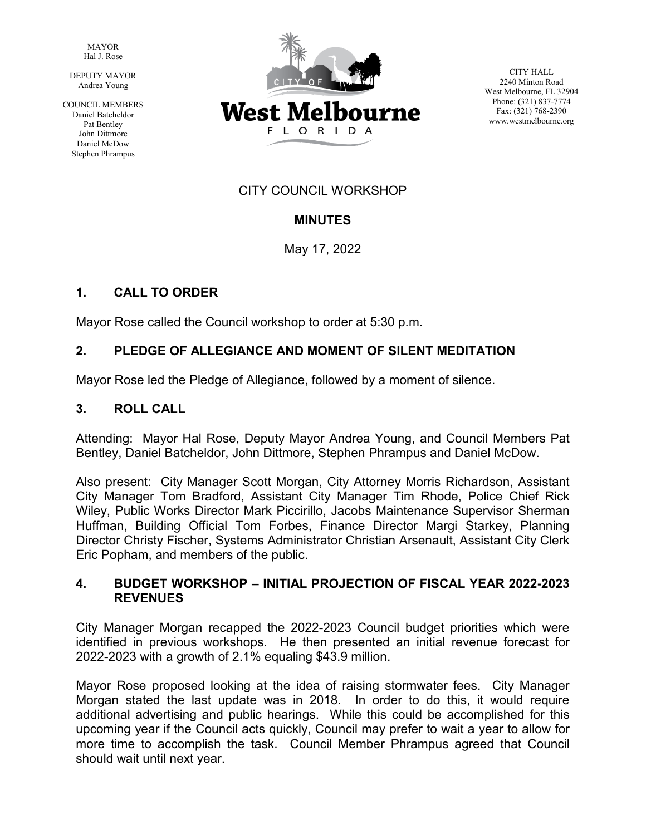MAYOR Hal J. Rose

DEPUTY MAYOR Andrea Young

COUNCIL MEMBERS Daniel Batcheldor Pat Bentley John Dittmore Daniel McDow Stephen Phrampus



CITY HALL 2240 Minton Road West Melbourne, FL 32904 Phone: (321) 837-7774 Fax: (321) 768-2390 www.westmelbourne.org

# CITY COUNCIL WORKSHOP

# **MINUTES**

May 17, 2022

# **1. CALL TO ORDER**

Mayor Rose called the Council workshop to order at 5:30 p.m.

# **2. PLEDGE OF ALLEGIANCE AND MOMENT OF SILENT MEDITATION**

Mayor Rose led the Pledge of Allegiance, followed by a moment of silence.

# **3. ROLL CALL**

Attending: Mayor Hal Rose, Deputy Mayor Andrea Young, and Council Members Pat Bentley, Daniel Batcheldor, John Dittmore, Stephen Phrampus and Daniel McDow.

Also present: City Manager Scott Morgan, City Attorney Morris Richardson, Assistant City Manager Tom Bradford, Assistant City Manager Tim Rhode, Police Chief Rick Wiley, Public Works Director Mark Piccirillo, Jacobs Maintenance Supervisor Sherman Huffman, Building Official Tom Forbes, Finance Director Margi Starkey, Planning Director Christy Fischer, Systems Administrator Christian Arsenault, Assistant City Clerk Eric Popham, and members of the public.

## **4. BUDGET WORKSHOP – INITIAL PROJECTION OF FISCAL YEAR 2022-2023 REVENUES**

City Manager Morgan recapped the 2022-2023 Council budget priorities which were identified in previous workshops. He then presented an initial revenue forecast for 2022-2023 with a growth of 2.1% equaling \$43.9 million.

Mayor Rose proposed looking at the idea of raising stormwater fees. City Manager Morgan stated the last update was in 2018. In order to do this, it would require additional advertising and public hearings. While this could be accomplished for this upcoming year if the Council acts quickly, Council may prefer to wait a year to allow for more time to accomplish the task. Council Member Phrampus agreed that Council should wait until next year.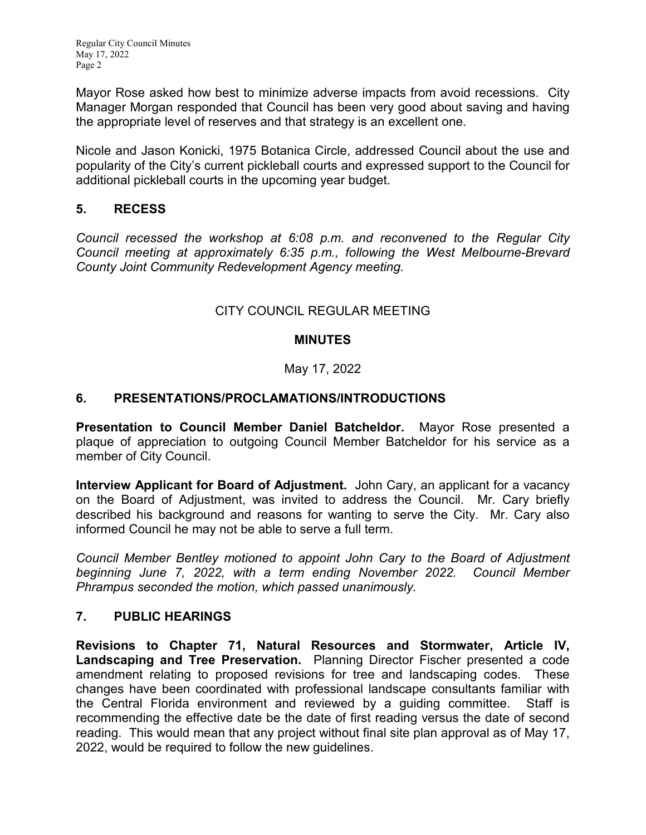Regular City Council Minutes May 17, 2022 Page 2

Mayor Rose asked how best to minimize adverse impacts from avoid recessions. City Manager Morgan responded that Council has been very good about saving and having the appropriate level of reserves and that strategy is an excellent one.

Nicole and Jason Konicki, 1975 Botanica Circle, addressed Council about the use and popularity of the City's current pickleball courts and expressed support to the Council for additional pickleball courts in the upcoming year budget.

## **5. RECESS**

*Council recessed the workshop at 6:08 p.m. and reconvened to the Regular City Council meeting at approximately 6:35 p.m., following the West Melbourne-Brevard County Joint Community Redevelopment Agency meeting.*

# CITY COUNCIL REGULAR MEETING

## **MINUTES**

# May 17, 2022

# **6. PRESENTATIONS/PROCLAMATIONS/INTRODUCTIONS**

**Presentation to Council Member Daniel Batcheldor.** Mayor Rose presented a plaque of appreciation to outgoing Council Member Batcheldor for his service as a member of City Council.

**Interview Applicant for Board of Adjustment.** John Cary, an applicant for a vacancy on the Board of Adjustment, was invited to address the Council. Mr. Cary briefly described his background and reasons for wanting to serve the City. Mr. Cary also informed Council he may not be able to serve a full term.

*Council Member Bentley motioned to appoint John Cary to the Board of Adjustment beginning June 7, 2022, with a term ending November 2022. Council Member Phrampus seconded the motion, which passed unanimously.*

## **7. PUBLIC HEARINGS**

**Revisions to Chapter 71, Natural Resources and Stormwater, Article IV, Landscaping and Tree Preservation.** Planning Director Fischer presented a code amendment relating to proposed revisions for tree and landscaping codes. These changes have been coordinated with professional landscape consultants familiar with the Central Florida environment and reviewed by a guiding committee. Staff is recommending the effective date be the date of first reading versus the date of second reading. This would mean that any project without final site plan approval as of May 17, 2022, would be required to follow the new guidelines.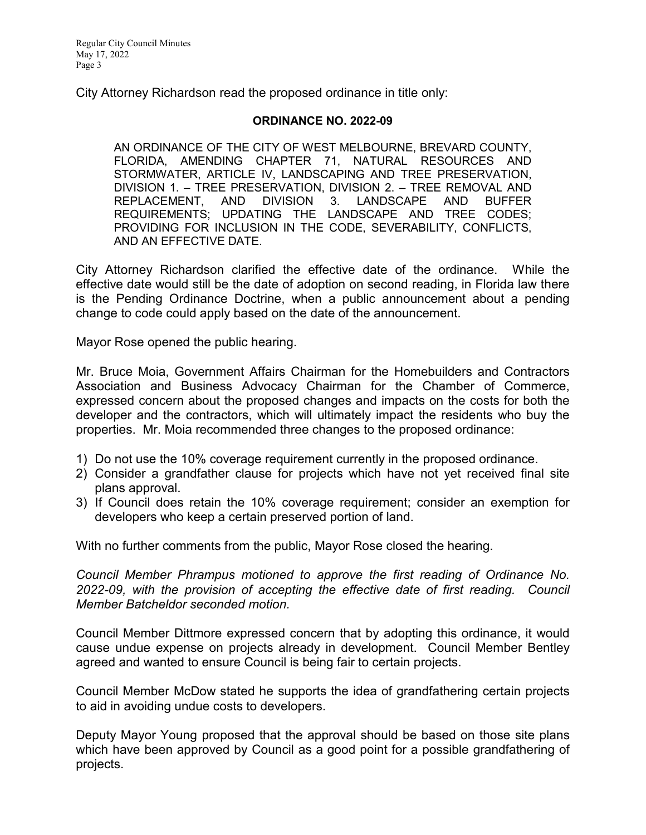City Attorney Richardson read the proposed ordinance in title only:

#### **ORDINANCE NO. 2022-09**

AN ORDINANCE OF THE CITY OF WEST MELBOURNE, BREVARD COUNTY, FLORIDA, AMENDING CHAPTER 71, NATURAL RESOURCES AND STORMWATER, ARTICLE IV, LANDSCAPING AND TREE PRESERVATION, DIVISION 1. – TREE PRESERVATION, DIVISION 2. – TREE REMOVAL AND REPLACEMENT, AND DIVISION 3. LANDSCAPE AND BUFFER REQUIREMENTS; UPDATING THE LANDSCAPE AND TREE CODES; PROVIDING FOR INCLUSION IN THE CODE, SEVERABILITY, CONFLICTS, AND AN EFFECTIVE DATE.

City Attorney Richardson clarified the effective date of the ordinance. While the effective date would still be the date of adoption on second reading, in Florida law there is the Pending Ordinance Doctrine, when a public announcement about a pending change to code could apply based on the date of the announcement.

Mayor Rose opened the public hearing.

Mr. Bruce Moia, Government Affairs Chairman for the Homebuilders and Contractors Association and Business Advocacy Chairman for the Chamber of Commerce, expressed concern about the proposed changes and impacts on the costs for both the developer and the contractors, which will ultimately impact the residents who buy the properties. Mr. Moia recommended three changes to the proposed ordinance:

- 1) Do not use the 10% coverage requirement currently in the proposed ordinance.
- 2) Consider a grandfather clause for projects which have not yet received final site plans approval.
- 3) If Council does retain the 10% coverage requirement; consider an exemption for developers who keep a certain preserved portion of land.

With no further comments from the public, Mayor Rose closed the hearing.

*Council Member Phrampus motioned to approve the first reading of Ordinance No. 2022-09, with the provision of accepting the effective date of first reading. Council Member Batcheldor seconded motion.* 

Council Member Dittmore expressed concern that by adopting this ordinance, it would cause undue expense on projects already in development. Council Member Bentley agreed and wanted to ensure Council is being fair to certain projects.

Council Member McDow stated he supports the idea of grandfathering certain projects to aid in avoiding undue costs to developers.

Deputy Mayor Young proposed that the approval should be based on those site plans which have been approved by Council as a good point for a possible grandfathering of projects.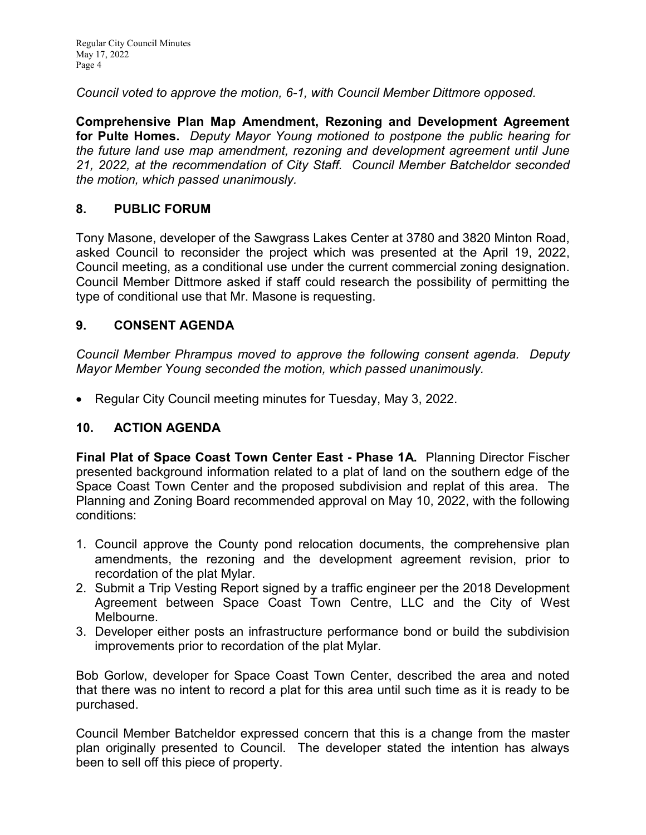Regular City Council Minutes May 17, 2022 Page 4

*Council voted to approve the motion, 6-1, with Council Member Dittmore opposed.*

**Comprehensive Plan Map Amendment, Rezoning and Development Agreement for Pulte Homes.** *Deputy Mayor Young motioned to postpone the public hearing for the future land use map amendment, rezoning and development agreement until June 21, 2022, at the recommendation of City Staff. Council Member Batcheldor seconded the motion, which passed unanimously.*

## **8. PUBLIC FORUM**

Tony Masone, developer of the Sawgrass Lakes Center at 3780 and 3820 Minton Road, asked Council to reconsider the project which was presented at the April 19, 2022, Council meeting, as a conditional use under the current commercial zoning designation. Council Member Dittmore asked if staff could research the possibility of permitting the type of conditional use that Mr. Masone is requesting.

## **9. CONSENT AGENDA**

*Council Member Phrampus moved to approve the following consent agenda. Deputy Mayor Member Young seconded the motion, which passed unanimously.*

• Regular City Council meeting minutes for Tuesday, May 3, 2022.

## **10. ACTION AGENDA**

**Final Plat of Space Coast Town Center East - Phase 1A.** Planning Director Fischer presented background information related to a plat of land on the southern edge of the Space Coast Town Center and the proposed subdivision and replat of this area. The Planning and Zoning Board recommended approval on May 10, 2022, with the following conditions:

- 1. Council approve the County pond relocation documents, the comprehensive plan amendments, the rezoning and the development agreement revision, prior to recordation of the plat Mylar.
- 2. Submit a Trip Vesting Report signed by a traffic engineer per the 2018 Development Agreement between Space Coast Town Centre, LLC and the City of West Melbourne.
- 3. Developer either posts an infrastructure performance bond or build the subdivision improvements prior to recordation of the plat Mylar.

Bob Gorlow, developer for Space Coast Town Center, described the area and noted that there was no intent to record a plat for this area until such time as it is ready to be purchased.

Council Member Batcheldor expressed concern that this is a change from the master plan originally presented to Council. The developer stated the intention has always been to sell off this piece of property.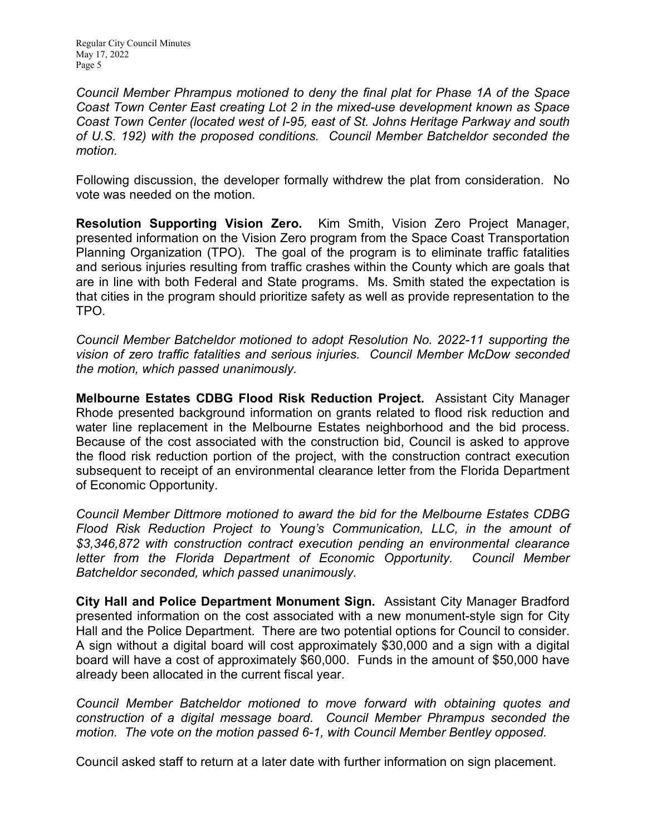*Council Member Phrampus motioned to deny the final plat for Phase 1A of the Space Coast Town Center East creating Lot 2 in the mixed-use development known as Space Coast Town Center (located west of I-95, east of St. Johns Heritage Parkway and south of U.S. 192) with the proposed conditions. Council Member Batcheldor seconded the motion.*

Following discussion, the developer formally withdrew the plat from consideration. No vote was needed on the motion.

**Resolution Supporting Vision Zero.** Kim Smith, Vision Zero Project Manager, presented information on the Vision Zero program from the Space Coast Transportation Planning Organization (TPO). The goal of the program is to eliminate traffic fatalities and serious injuries resulting from traffic crashes within the County which are goals that are in line with both Federal and State programs. Ms. Smith stated the expectation is that cities in the program should prioritize safety as well as provide representation to the TPO.

*Council Member Batcheldor motioned to adopt Resolution No. 2022-11 supporting the vision of zero traffic fatalities and serious injuries. Council Member McDow seconded the motion, which passed unanimously.*

**Melbourne Estates CDBG Flood Risk Reduction Project.** Assistant City Manager Rhode presented background information on grants related to flood risk reduction and water line replacement in the Melbourne Estates neighborhood and the bid process. Because of the cost associated with the construction bid, Council is asked to approve the flood risk reduction portion of the project, with the construction contract execution subsequent to receipt of an environmental clearance letter from the Florida Department of Economic Opportunity.

*Council Member Dittmore motioned to award the bid for the Melbourne Estates CDBG Flood Risk Reduction Project to Young's Communication, LLC, in the amount of \$3,346,872 with construction contract execution pending an environmental clearance letter from the Florida Department of Economic Opportunity. Council Member Batcheldor seconded, which passed unanimously.*

**City Hall and Police Department Monument Sign.** Assistant City Manager Bradford presented information on the cost associated with a new monument-style sign for City Hall and the Police Department. There are two potential options for Council to consider. A sign without a digital board will cost approximately \$30,000 and a sign with a digital board will have a cost of approximately \$60,000. Funds in the amount of \$50,000 have already been allocated in the current fiscal year.

*Council Member Batcheldor motioned to move forward with obtaining quotes and construction of a digital message board. Council Member Phrampus seconded the motion. The vote on the motion passed 6-1, with Council Member Bentley opposed.*

Council asked staff to return at a later date with further information on sign placement.